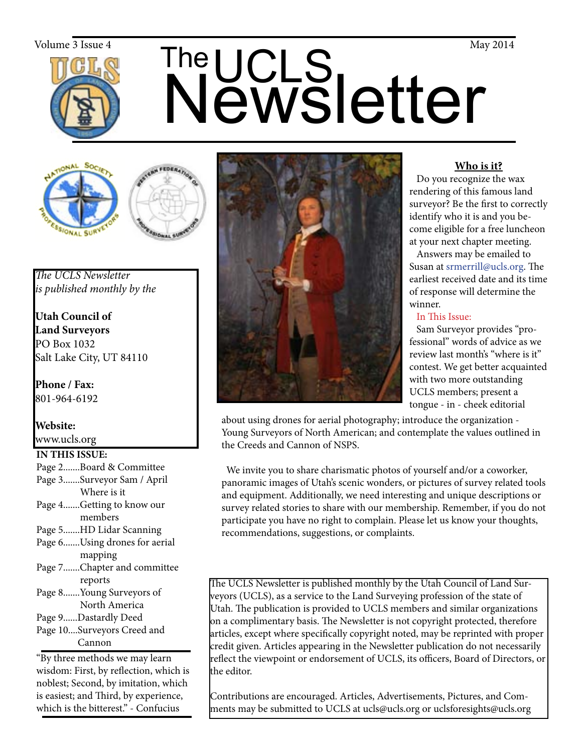

# The UCLS<br>Newsletter  $\sum_{\text{Volume 3 Issue 4}}$  May 2014





*The UCLS Newsletter is published monthly by the*

**Utah Council of Land Surveyors** PO Box 1032 Salt Lake City, UT 84110

**Phone / Fax:**  801-964-6192

**Website:** www.ucls.org

# **IN THIS ISSUE:**

- Page 2.......Board & Committee
- Page 3.......Surveyor Sam / April Where is it
- Page 4.......Getting to know our members
- Page 5.......HD Lidar Scanning
- Page 6.......Using drones for aerial mapping
- Page 7.......Chapter and committee reports
- Page 8.......Young Surveyors of North America
- Page 9......Dastardly Deed
- Page 10....Surveyors Creed and Cannon

"By three methods we may learn wisdom: First, by reflection, which is noblest; Second, by imitation, which is easiest; and Third, by experience, which is the bitterest." - Confucius



# **Who is it?**

 Do you recognize the wax rendering of this famous land surveyor? Be the first to correctly identify who it is and you become eligible for a free luncheon at your next chapter meeting.

 Answers may be emailed to Susan at srmerrill@ucls.org. The earliest received date and its time of response will determine the winner.

In This Issue:

 Sam Surveyor provides "professional" words of advice as we review last month's "where is it" contest. We get better acquainted with two more outstanding UCLS members; present a tongue - in - cheek editorial

about using drones for aerial photography; introduce the organization - Young Surveyors of North American; and contemplate the values outlined in the Creeds and Cannon of NSPS.

 We invite you to share charismatic photos of yourself and/or a coworker, panoramic images of Utah's scenic wonders, or pictures of survey related tools and equipment. Additionally, we need interesting and unique descriptions or survey related stories to share with our membership. Remember, if you do not participate you have no right to complain. Please let us know your thoughts, recommendations, suggestions, or complaints.

The UCLS Newsletter is published monthly by the Utah Council of Land Surveyors (UCLS), as a service to the Land Surveying profession of the state of Utah. The publication is provided to UCLS members and similar organizations on a complimentary basis. The Newsletter is not copyright protected, therefore articles, except where specifically copyright noted, may be reprinted with proper credit given. Articles appearing in the Newsletter publication do not necessarily reflect the viewpoint or endorsement of UCLS, its officers, Board of Directors, or the editor.

Contributions are encouraged. Articles, Advertisements, Pictures, and Comments may be submitted to UCLS at ucls@ucls.org or uclsforesights@ucls.org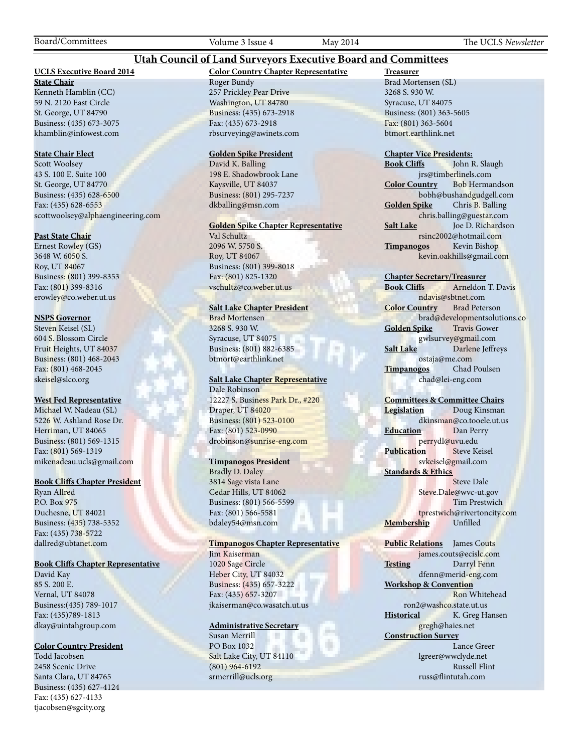Board/Committees Volume 3 Issue 4 May 2014 The UCLS *Newsletter*

### **Utah Council of Land Surveyors Executive Board and Committees**

### **UCLS Executive Board 2014**

**State Chair** Kenneth Hamblin (CC) 59 N. 2120 East Circle St. George, UT 84790 Business: (435) 673-3075 khamblin@infowest.com

### **State Chair Elect**

Scott Woolsey 43 S. 100 E. Suite 100 St. George, UT 84770 Business: (435) 628-6500 Fax: (435) 628-6553 scottwoolsey@alphaengineering.com

### **Past State Chair**

Ernest Rowley (GS) 3648 W. 6050 S. Roy, UT 84067 Business: (801) 399-8353 Fax: (801) 399-8316 erowley@co.weber.ut.us

### **NSPS Governor**

Steven Keisel (SL) 604 S. Blossom Circle Fruit Heights, UT 84037 Business: (801) 468-2043 Fax: (801) 468-2045 skeisel@slco.org

### **West Fed Representative**

Michael W. Nadeau (SL) 5226 W. Ashland Rose Dr. Herriman, UT 84065 Business: (801) 569-1315 Fax: (801) 569-1319 mikenadeau.ucls@gmail.com

### **Book Cliffs Chapter President**

Ryan Allred P.O. Box 975 Duchesne, UT 84021 Business: (435) 738-5352 Fax: (435) 738-5722 dallred@ubtanet.com

### **Book Cliffs Chapter Representative**

David Kay 85 S. 200 E. Vernal, UT 84078 Business:(435) 789-1017 Fax: (435)789-1813 dkay@uintahgroup.com

### **Color Country President**

Todd Jacobsen 2458 Scenic Drive Santa Clara, UT 84765 Business: (435) 627-4124 Fax: (435) 627-4133 tjacobsen@sgcity.org

# **Color Country Chapter Representative**

Roger Bundy 257 Prickley Pear Drive Washington, UT 84780 Business: (435) 673-2918 Fax: (435) 673-2918 rbsurveying@awinets.com

### **Golden Spike President**

David K. Balling 198 E. Shadowbrook Lane Kaysville, UT 84037 Business: (801) 295-7237 dkballing@msn.com

### **Golden Spike Chapter Representative**

Val Schultz 2096 W. 5750 S. Roy, UT 84067 Business: (801) 399-8018 Fax: (801) 825-1320 vschultz@co.weber.ut.us

### **Salt Lake Chapter President**

Brad Mortensen 3268 S. 930 W. Syracuse, UT 84075 Business: (801) 882-6385 btmort@earthlink.net

### **Salt Lake Chapter Representative** Dale Robinson

12227 S. Business Park Dr., #220 Draper, UT 84020 Business: (801) 523-0100 Fax: (801) 523-0990 drobinson@sunrise-eng.com

### **Timpanogos President**

Bradly D. Daley 3814 Sage vista Lane Cedar Hills, UT 84062 Business: (801) 566-5599 Fax: (801) 566-5581 bdaley54@msn.com

### **Timpanogos Chapter Representative**

Jim Kaiserman 1020 Sage Circle Heber City, UT 84032 Business: (435) 657-3222 Fax: (435) 657-3207 jkaiserman@co.wasatch.ut.us

### **Administrative Secretary**

Susan Merrill × PO Box 1032 Salt Lake City, UT 84110 (801) 964-6192 srmerrill@ucls.org

**Treasurer** Brad Mortensen (SL) 3268 S. 930 W. Syracuse, UT 84075 Business: (801) 363-5605 Fax: (801) 363-5604 btmort.earthlink.net

# **Chapter Vice Presidents:**

John R. Slaugh jrs@timberlinels.com **Color Country** Bob Hermandson bobh@bushandgudgell.com **Golden Spike** Chris B. Balling chris.balling@guestar.com **Salt Lake** Joe D. Richardson rsinc2002@hotmail.com **Timpanogos** Kevin Bishop kevin.oakhills@gmail.com

### **Chapter Secretary/Treasurer**

**Book Cliffs** Arneldon T. Davis ndavis@sbtnet.com **Color Country** Brad Peterson brad@developmentsolutions.co **Golden Spike** Travis Gower gwlsurvey@gmail.com **Salt Lake** Darlene Jeffreys ostaja@me.com **Timpanogos** Chad Poulsen chad@lei-eng.com

### **Committees & Committee Chairs**

**Legislation** Doug Kinsman dkinsman@co.tooele.ut.us **Education** Dan Perry perrydl@uvu.edu **Publication** Steve Keisel svkeisel@gmail.com **Standards & Ethics** Steve Dale Steve.Dale@wvc-ut.gov

 Tim Prestwich tprestwich@rivertoncity.com<br>hip Unfilled **Membership** 

**Public Relations** James Couts james.couts@ecislc.com **Testing** Darryl Fenn dfenn@merid-eng.com **Workshop & Convention** Ron Whitehead ron2@washco.state.ut.us **Historical** K. Greg Hansen gregh@haies.net **Construction Survey** Lance Greer lgreer@wwclyde.net Russell Flint russ@flintutah.com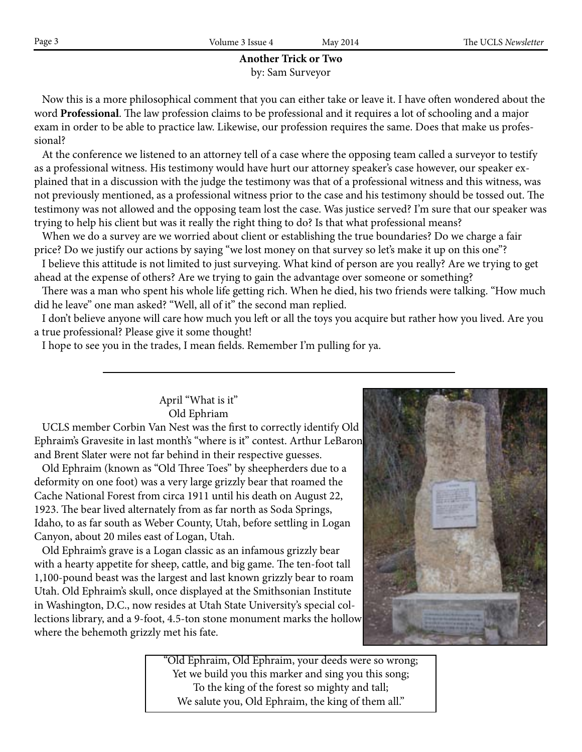# **Another Trick or Two** by: Sam Surveyor

 Now this is a more philosophical comment that you can either take or leave it. I have often wondered about the word **Professional**. The law profession claims to be professional and it requires a lot of schooling and a major exam in order to be able to practice law. Likewise, our profession requires the same. Does that make us professional?

 At the conference we listened to an attorney tell of a case where the opposing team called a surveyor to testify as a professional witness. His testimony would have hurt our attorney speaker's case however, our speaker explained that in a discussion with the judge the testimony was that of a professional witness and this witness, was not previously mentioned, as a professional witness prior to the case and his testimony should be tossed out. The testimony was not allowed and the opposing team lost the case. Was justice served? I'm sure that our speaker was trying to help his client but was it really the right thing to do? Is that what professional means?

 When we do a survey are we worried about client or establishing the true boundaries? Do we charge a fair price? Do we justify our actions by saying "we lost money on that survey so let's make it up on this one"?

 I believe this attitude is not limited to just surveying. What kind of person are you really? Are we trying to get ahead at the expense of others? Are we trying to gain the advantage over someone or something?

 There was a man who spent his whole life getting rich. When he died, his two friends were talking. "How much did he leave" one man asked? "Well, all of it" the second man replied.

 I don't believe anyone will care how much you left or all the toys you acquire but rather how you lived. Are you a true professional? Please give it some thought!

I hope to see you in the trades, I mean fields. Remember I'm pulling for ya.

# April "What is it" Old Ephriam

 UCLS member Corbin Van Nest was the first to correctly identify Old Ephraim's Gravesite in last month's "where is it" contest. Arthur LeBaron and Brent Slater were not far behind in their respective guesses.

 Old Ephraim (known as "Old Three Toes" by sheepherders due to a deformity on one foot) was a very large grizzly bear that roamed the Cache National Forest from circa 1911 until his death on August 22, 1923. The bear lived alternately from as far north as Soda Springs, Idaho, to as far south as Weber County, Utah, before settling in Logan Canyon, about 20 miles east of Logan, Utah.

 Old Ephraim's grave is a Logan classic as an infamous grizzly bear with a hearty appetite for sheep, cattle, and big game. The ten-foot tall 1,100-pound beast was the largest and last known grizzly bear to roam Utah. Old Ephraim's skull, once displayed at the Smithsonian Institute in Washington, D.C., now resides at Utah State University's special collections library, and a 9-foot, 4.5-ton stone monument marks the hollow where the behemoth grizzly met his fate.



"Old Ephraim, Old Ephraim, your deeds were so wrong; Yet we build you this marker and sing you this song; To the king of the forest so mighty and tall; We salute you, Old Ephraim, the king of them all."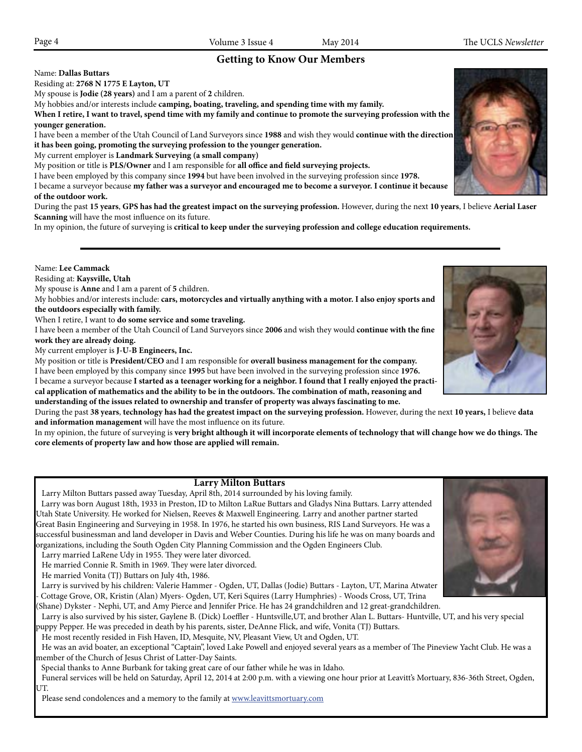# **Getting to Know Our Members**

Name: **Dallas Buttars**

Residing at: **2768 N 1775 E Layton, UT**

My spouse is **Jodie (28 years)** and I am a parent of **2** children.

My hobbies and/or interests include **camping, boating, traveling, and spending time with my family.**

**When I retire, I want to travel, spend time with my family and continue to promote the surveying profession with the younger generation.**

I have been a member of the Utah Council of Land Surveyors since **1988** and wish they would **continue with the direction it has been going, promoting the surveying profession to the younger generation.**

My current employer is **Landmark Surveying (a small company)**

My position or title is **PLS/Owner** and I am responsible for **all office and field surveying projects.**

I have been employed by this company since **1994** but have been involved in the surveying profession since **1978.**

I became a surveyor because **my father was a surveyor and encouraged me to become a surveyor. I continue it because of the outdoor work.**

During the past **15 years**, **GPS has had the greatest impact on the surveying profession.** However, during the next **10 years**, I believe **Aerial Laser Scanning** will have the most influence on its future.

In my opinion, the future of surveying is **critical to keep under the surveying profession and college education requirements.**

Residing at: **Kaysville, Utah** My spouse is **Anne** and I am a parent of **5** children. My hobbies and/or interests include: **cars, motorcycles and virtually anything with a motor. I also enjoy sports and** 

**the outdoors especially with family.**

Name: **Lee Cammack**

When I retire, I want to **do some service and some traveling.** 

I have been a member of the Utah Council of Land Surveyors since **2006** and wish they would **continue with the fine work they are already doing.**

My current employer is **J-U-B Engineers, Inc.**

My position or title is **President/CEO** and I am responsible for **overall business management for the company.**

I have been employed by this company since **1995** but have been involved in the surveying profession since **1976.** I became a surveyor because **I started as a teenager working for a neighbor. I found that I really enjoyed the practical application of mathematics and the ability to be in the outdoors. The combination of math, reasoning and understanding of the issues related to ownership and transfer of property was always fascinating to me.**

During the past **38 years**, **technology has had the greatest impact on the surveying profession.** However, during the next **10 years,** I believe **data and information management** will have the most influence on its future.

In my opinion, the future of surveying is **very bright although it will incorporate elements of technology that will change how we do things. The core elements of property law and how those are applied will remain.**

### **Larry Milton Buttars**

Larry Milton Buttars passed away Tuesday, April 8th, 2014 surrounded by his loving family.

Larry was born August 18th, 1933 in Preston, ID to Milton LaRue Buttars and Gladys Nina Buttars. Larry attended Utah State University. He worked for Nielsen, Reeves & Maxwell Engineering. Larry and another partner started Great Basin Engineering and Surveying in 1958. In 1976, he started his own business, RIS Land Surveyors. He was a successful businessman and land developer in Davis and Weber Counties. During his life he was on many boards and organizations, including the South Ogden City Planning Commission and the Ogden Engineers Club.

Larry married LaRene Udy in 1955. They were later divorced.

He married Connie R. Smith in 1969. They were later divorced.

He married Vonita (TJ) Buttars on July 4th, 1986.

 Larry is survived by his children: Valerie Hammer - Ogden, UT, Dallas (Jodie) Buttars - Layton, UT, Marina Atwater - Cottage Grove, OR, Kristin (Alan) Myers- Ogden, UT, Keri Squires (Larry Humphries) - Woods Cross, UT, Trina

(Shane) Dykster - Nephi, UT, and Amy Pierce and Jennifer Price. He has 24 grandchildren and 12 great-grandchildren.

 Larry is also survived by his sister, Gaylene B. (Dick) Loeffler - Huntsville,UT, and brother Alan L. Buttars- Huntville, UT, and his very special puppy Pepper. He was preceded in death by his parents, sister, DeAnne Flick, and wife, Vonita (TJ) Buttars.

He most recently resided in Fish Haven, ID, Mesquite, NV, Pleasant View, Ut and Ogden, UT.

 He was an avid boater, an exceptional "Captain", loved Lake Powell and enjoyed several years as a member of The Pineview Yacht Club. He was a member of the Church of Jesus Christ of Latter-Day Saints.

Special thanks to Anne Burbank for taking great care of our father while he was in Idaho.

Funeral services will be held on Saturday, April 12, 2014 at 2:00 p.m. with a viewing one hour prior at Leavitt's Mortuary, 836-36th Street, Ogden, UT.

Please send condolences and a memory to the family at www.leavittsmortuary.com





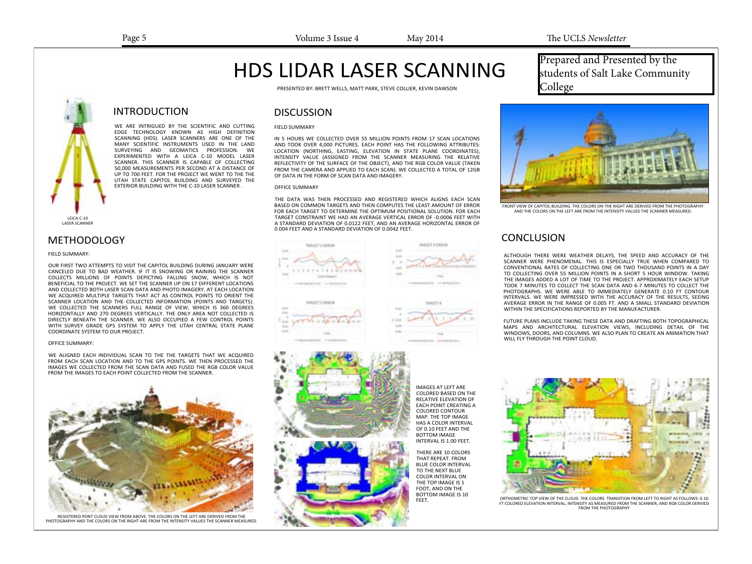# HDS LIDAR LASER SCANNING

PRESENTED BY: BRETT WELLS, MATT PARK, STEVE COLLIER, KEVIN DAWSON

# INTRODUCTION

WE ARE INTRIGUED BY THE SCIENTIFIC AND CUTTING EDGE TECHNOLOGY KNOWN AS HIGH DEFINITION SCANNING (HDS). LASER SCANNERS ARE ONE OF THE MANY SCIENTIFIC INSTRUMENTS USED IN THE LAND SURVEYING AND GEOMATICS PROFESSION. WE EXPERIMENTED WITH A LEICA C-10 MODEL LASER SCANNER. THIS SCANNER IS CAPABLE OF COLLECTING 50,000 MEASUREMENTS PER SECOND AT A DISTANCE OF UP TO 700 FEET. FOR THE PROJECT WE WENT TO THE THE UTAH STATE CAPITOL BUILDING AND SURVEYED THE EXTERIOR BUILDING WITH THE C-10 LASER SCANNER .

LEICA C-10 LASER SCANNER

## **METHODOLOGY**

#### FIELD SUMMARY:

OUR FIRST TWO ATTEMPTS TO VISIT THE CAPITOL BUILDING DURING JANUARY WERE CANCELED DUE TO BAD WEATHER. IF IT IS SNOWING OR RAINING THE SCANNER COLLECTS MILLIONS OF POINTS DEPICTING FALLING SNOW, WHICH IS NOT BENEFICIAL TO THE PROJECT. WE SET THE SCANNER UP ON 17 DIFFERENT LOCATIONS AND COLLECTED BOTH LASER SCAN DATA AND PHOTO IMAGERY. AT EACH LOCATION WE ACQUIRED MULTIPLE TARGETS THAT ACT AS CONTROL POINTS TO ORIENT THE SCANNER LOCATION AND THE COLLECTED INFORMATION (POINTS AND TARGETS). WE COLLECTED THE SCANNERS FULL RANGE OF VIEW, WHICH IS 360 DEGREES HORIZONTALLY AND 270 DEGREES VERTICALLY. THE ONLY AREA NOT COLLECTED IS DIRECTLY BENEATH THE SCANNER. WE ALSO OCCUPIED A FEW CONTROL POINTS WITH SURVEY GRADE GPS SYSTEM TO APPLY THE UTAH CENTRAL STATE PLANE COORDINATE SYSTEM TO OUR PROJECT.

#### OFFICE SUMMARY:

WE ALIGNED EACH INDIVIDUAL SCAN TO THE THE TARGETS THAT WE ACQUIRED FROM EACH SCAN LOCATION AND TO THE GPS POINTS. WE THEN PROCESSED THE IMAGES WE COLLECTED FROM THE SCAN DATA AND FUSED THE RGB COLOR VALUE FROM THE IMAGES TO EACH POINT COLLECTED FROM THE SCANNER.



REGISTERED PONT CLOUD VIEW FROM ABOVE. THE COLORS ON THE LEFT ARE DERIVED FROM THE PHOTOGRAPHY AND THE COLORS ON THE RIGHT ARE FROM THE INTENSITY VALUES THE SCANNER MEASURED.

### **DISCUSSION**

### FIELD SUMMARY

IN 5 HOURS WE COLLECTED OVER 55 MILLION POINTS FROM 17 SCAN LOCATIONS AND TOOK OVER 4,000 PICTURES. EACH POINT HAS THE FOLLOWING ATTRIBUTES: LOCATION (NORTHING, EASTING, ELEVATION IN STATE PLANE COORDINATES), INTENSITY VALUE (ASSIGNED FROM THE SCANNER MEASURING THE RELATIVE REFLECTIVITY OF THE SURFACE OF THE OBJECT), AND THE RGB COLOR VALUE (TAKEN FROM THE CAMERA AND APPLIED TO EACH SCAN). WE COLLECTED A TOTAL OF 12GB OF DATA IN THE FORM OF SCAN DATA AND IMAGERY.

#### OFFICE SUMMARY

THE DATA WAS THEN PROCESSED AND REGISTERED WHICH ALIGNS EACH SCAN BASED ON COMMON TARGETS AND THEN COMPUTES THE LEAST AMOUNT OF ERROR FOR EACH TARGET TO DETERMINE THE OPTIMUM POSITIONAL SOLUTION. FOR EACH TARGET CONSTRAINT WE HAD AN AVERAGE VERTICAL ERROR OF -0.0006 FEET WITH A STANDARD DEVIATION OF 0.0122 FEET, AND AN AVERAGE HORIZONTAL ERROR OF 0.004 FEET AND A STANDARD DEVIATION OF 0.0042 FEET.





IMAGES AT LEFT ARE COLORED BASED ON THE RELATIVE ELEVATION OF EACH POINT CREATING A COLORED CONTOUR MAP. THE TOP IMAGE HAS A COLOR INTERVAL OF 0.10 FEET AND THE BOTTOM IMAGE INTERVAL IS 1.00 FEET.

THERE ARE 10 COLORS THAT REPEAT. FROM BLUE COLOR INTERVAL TO THE NEXT BLUE COLOR INTERVAL ON THE TOP IMAGE IS 1 FOOT, AND ON THE BOTTOM IMAGE IS 10<br>FFFT.

Prepared and Presented by the students of Salt Lake Community College



FRONT VIEW OF CAPITOL BUILDING. THE COLORS ON THE RIGHT ARE DERIVED FROM THE PHOTOGRAPHY AND THE COLORS ON THE LEFT ARE FROM THE INTENSITY VALUES THE SCANNER MEASURED.

# **CONCLUSION**

ALTHOUGH THERE WERE WEATHER DELAYS, THE SPEED AND ACCURACY OF THE SCANNER WERE PHENOMENAL. THIS IS ESPECIALLY TRUE WHEN COMPARED TO CONVENTIONAL RATES OF COLLECTING ONE OR TWO THOUSAND POINTS IN A DAY TO COLLECTING OVER 55 MILLION POINTS IN A SHORT 5 HOUR WINDOW. TAKING THE IMAGES ADDED A LOT OF TIME TO THE PROJECT. APPROXIMATELY EACH SETUP TOOK 7 MINUTES TO COLLECT THE SCAN DATA AND 6-7 MINUTES TO COLLECT THE PHOTOGRAPHS. WE WERE ABLE TO IMMEDIATELY GENERATE 0.10 FT CONTOUR INTERVALS. WE WERE IMPRESSED WITH THE ACCURACY OF THE RESULTS, SEEING AVERAGE ERROR IN THE RANGE OF 0.005 FT. AND A SMALL STANDARD DEVIATION WITHIN THE SPECIFICATIONS REPORTED BY THE MANUFACTURER.

FUTURE PLANS INCLUDE TAKING THESE DATA AND DRAFTING BOTH TOPOGRAPHICAL MAPS AND ARCHITECTURAL ELEVATION VIEWS, INCLUDING DETAIL OF THE WINDOWS, DOORS, AND COLUMNS. WE ALSO PLAN TO CREATE AN ANIMATION THAT WILL FLY THROUGH THE POINT CLOUD.



ORTHOMETRIC TOP VIEW OF THE CLOUD. THE COLORS TRANSITION FROM LEFT TO RIGHT AS FOLLOWS: 0.10 FT COLORED ELEVATION INTERVAL, INTENSITY AS MEASURED FROM THE SCANNER, AND RGB COLOR DERIVED FROM THE PHOTOGRAPHY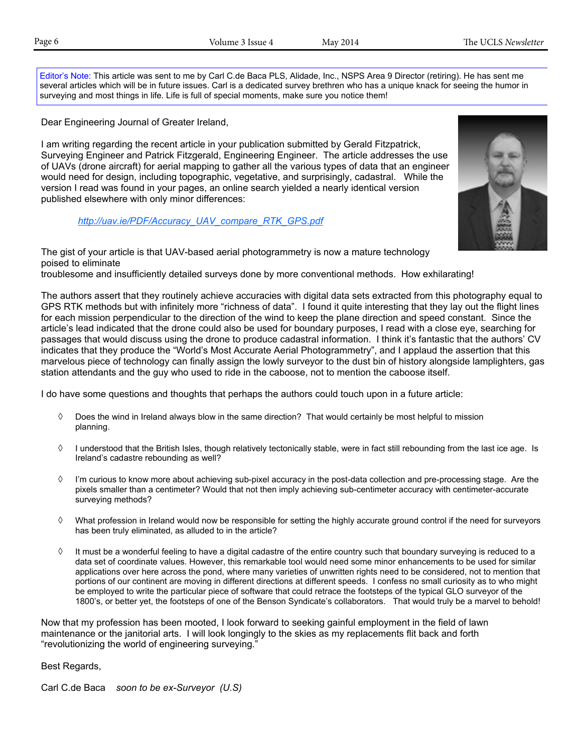Editor's Note: This article was sent to me by Carl C.de Baca PLS, Alidade, Inc., NSPS Area 9 Director (retiring). He has sent me several articles which will be in future issues. Carl is a dedicated survey brethren who has a unique knack for seeing the humor in surveying and most things in life. Life is full of special moments, make sure you notice them!

Dear Engineering Journal of Greater Ireland,

I am writing regarding the recent article in your publication submitted by Gerald Fitzpatrick, Surveying Engineer and Patrick Fitzgerald, Engineering Engineer. The article addresses the use of UAVs (drone aircraft) for aerial mapping to gather all the various types of data that an engineer would need for design, including topographic, vegetative, and surprisingly, cadastral. While the version I read was found in your pages, an online search yielded a nearly identical version published elsewhere with only minor differences:

*http://uav.ie/PDF/Accuracy\_UAV\_compare\_RTK\_GPS.pdf*

The gist of your article is that UAV-based aerial photogrammetry is now a mature technology poised to eliminate troublesome and insufficiently detailed surveys done by more conventional methods. How exhilarating!

The authors assert that they routinely achieve accuracies with digital data sets extracted from this photography equal to GPS RTK methods but with infinitely more "richness of data". I found it quite interesting that they lay out the flight lines for each mission perpendicular to the direction of the wind to keep the plane direction and speed constant. Since the article's lead indicated that the drone could also be used for boundary purposes, I read with a close eye, searching for passages that would discuss using the drone to produce cadastral information. I think it's fantastic that the authors' CV indicates that they produce the "World's Most Accurate Aerial Photogrammetry", and I applaud the assertion that this marvelous piece of technology can finally assign the lowly surveyor to the dust bin of history alongside lamplighters, gas station attendants and the guy who used to ride in the caboose, not to mention the caboose itself.

I do have some questions and thoughts that perhaps the authors could touch upon in a future article:

- $\Diamond$  Does the wind in Ireland always blow in the same direction? That would certainly be most helpful to mission planning.
- $\Diamond$  I understood that the British Isles, though relatively tectonically stable, were in fact still rebounding from the last ice age. Is Ireland's cadastre rebounding as well?
- $\Diamond$  I'm curious to know more about achieving sub-pixel accuracy in the post-data collection and pre-processing stage. Are the pixels smaller than a centimeter? Would that not then imply achieving sub-centimeter accuracy with centimeter-accurate surveying methods?
- What profession in Ireland would now be responsible for setting the highly accurate ground control if the need for surveyors has been truly eliminated, as alluded to in the article?
- $\Diamond$  It must be a wonderful feeling to have a digital cadastre of the entire country such that boundary surveying is reduced to a data set of coordinate values. However, this remarkable tool would need some minor enhancements to be used for similar applications over here across the pond, where many varieties of unwritten rights need to be considered, not to mention that portions of our continent are moving in different directions at different speeds. I confess no small curiosity as to who might be employed to write the particular piece of software that could retrace the footsteps of the typical GLO surveyor of the 1800's, or better yet, the footsteps of one of the Benson Syndicate's collaborators. That would truly be a marvel to behold!

Now that my profession has been mooted, I look forward to seeking gainful employment in the field of lawn maintenance or the janitorial arts. I will look longingly to the skies as my replacements flit back and forth "revolutionizing the world of engineering surveying."

Best Regards,

Carl C.de Baca *soon to be ex-Surveyor (U.S)*

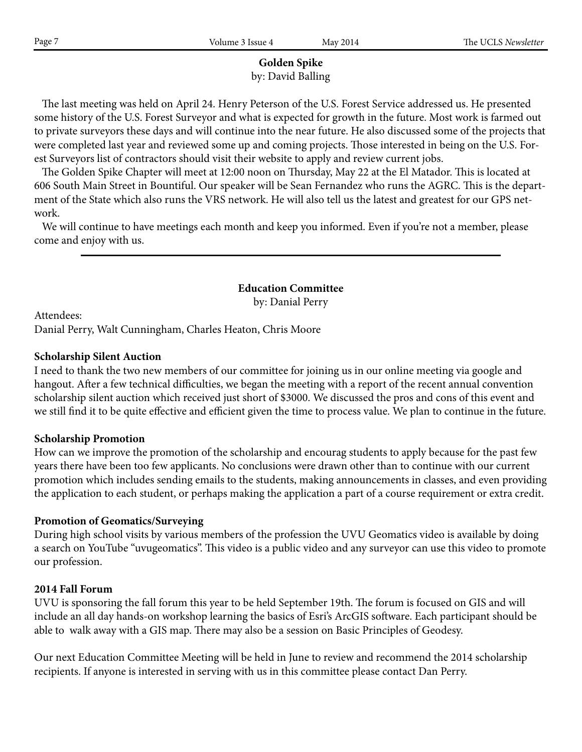# **Golden Spike**

by: David Balling

 The last meeting was held on April 24. Henry Peterson of the U.S. Forest Service addressed us. He presented some history of the U.S. Forest Surveyor and what is expected for growth in the future. Most work is farmed out to private surveyors these days and will continue into the near future. He also discussed some of the projects that were completed last year and reviewed some up and coming projects. Those interested in being on the U.S. Forest Surveyors list of contractors should visit their website to apply and review current jobs.

 The Golden Spike Chapter will meet at 12:00 noon on Thursday, May 22 at the El Matador. This is located at 606 South Main Street in Bountiful. Our speaker will be Sean Fernandez who runs the AGRC. This is the department of the State which also runs the VRS network. He will also tell us the latest and greatest for our GPS network.

 We will continue to have meetings each month and keep you informed. Even if you're not a member, please come and enjoy with us.

> **Education Committee** by: Danial Perry

Attendees:

Danial Perry, Walt Cunningham, Charles Heaton, Chris Moore

# **Scholarship Silent Auction**

I need to thank the two new members of our committee for joining us in our online meeting via google and hangout. After a few technical difficulties, we began the meeting with a report of the recent annual convention scholarship silent auction which received just short of \$3000. We discussed the pros and cons of this event and we still find it to be quite effective and efficient given the time to process value. We plan to continue in the future.

# **Scholarship Promotion**

How can we improve the promotion of the scholarship and encourag students to apply because for the past few years there have been too few applicants. No conclusions were drawn other than to continue with our current promotion which includes sending emails to the students, making announcements in classes, and even providing the application to each student, or perhaps making the application a part of a course requirement or extra credit.

# **Promotion of Geomatics/Surveying**

During high school visits by various members of the profession the UVU Geomatics video is available by doing a search on YouTube "uvugeomatics". This video is a public video and any surveyor can use this video to promote our profession.

# **2014 Fall Forum**

UVU is sponsoring the fall forum this year to be held September 19th. The forum is focused on GIS and will include an all day hands-on workshop learning the basics of Esri's ArcGIS software. Each participant should be able to walk away with a GIS map. There may also be a session on Basic Principles of Geodesy.

Our next Education Committee Meeting will be held in June to review and recommend the 2014 scholarship recipients. If anyone is interested in serving with us in this committee please contact Dan Perry.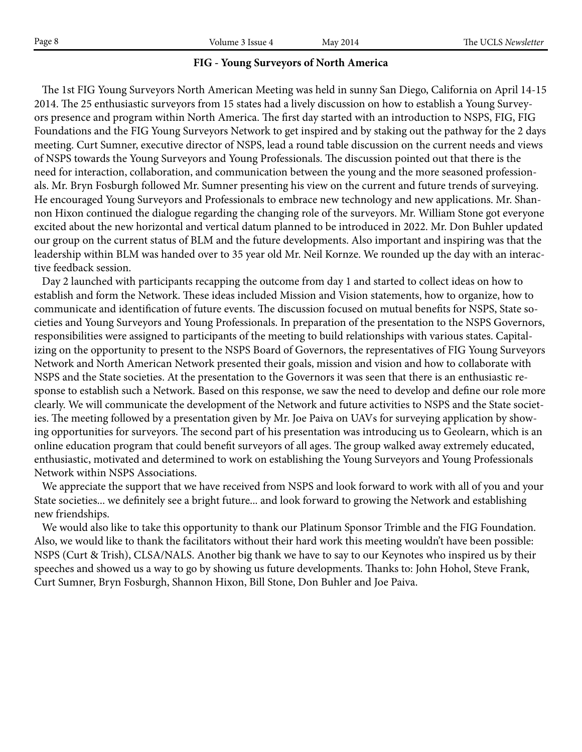| Page 8 | lssue 4<br>/olume | 2014<br>Mav | UCLS<br>rne<br>Newsletter |
|--------|-------------------|-------------|---------------------------|
|        |                   |             |                           |

# **FIG - Young Surveyors of North America**

 The 1st FIG Young Surveyors North American Meeting was held in sunny San Diego, California on April 14-15 2014. The 25 enthusiastic surveyors from 15 states had a lively discussion on how to establish a Young Surveyors presence and program within North America. The first day started with an introduction to NSPS, FIG, FIG Foundations and the FIG Young Surveyors Network to get inspired and by staking out the pathway for the 2 days meeting. Curt Sumner, executive director of NSPS, lead a round table discussion on the current needs and views of NSPS towards the Young Surveyors and Young Professionals. The discussion pointed out that there is the need for interaction, collaboration, and communication between the young and the more seasoned professionals. Mr. Bryn Fosburgh followed Mr. Sumner presenting his view on the current and future trends of surveying. He encouraged Young Surveyors and Professionals to embrace new technology and new applications. Mr. Shannon Hixon continued the dialogue regarding the changing role of the surveyors. Mr. William Stone got everyone excited about the new horizontal and vertical datum planned to be introduced in 2022. Mr. Don Buhler updated our group on the current status of BLM and the future developments. Also important and inspiring was that the leadership within BLM was handed over to 35 year old Mr. Neil Kornze. We rounded up the day with an interactive feedback session.

 Day 2 launched with participants recapping the outcome from day 1 and started to collect ideas on how to establish and form the Network. These ideas included Mission and Vision statements, how to organize, how to communicate and identification of future events. The discussion focused on mutual benefits for NSPS, State societies and Young Surveyors and Young Professionals. In preparation of the presentation to the NSPS Governors, responsibilities were assigned to participants of the meeting to build relationships with various states. Capitalizing on the opportunity to present to the NSPS Board of Governors, the representatives of FIG Young Surveyors Network and North American Network presented their goals, mission and vision and how to collaborate with NSPS and the State societies. At the presentation to the Governors it was seen that there is an enthusiastic response to establish such a Network. Based on this response, we saw the need to develop and define our role more clearly. We will communicate the development of the Network and future activities to NSPS and the State societies. The meeting followed by a presentation given by Mr. Joe Paiva on UAVs for surveying application by showing opportunities for surveyors. The second part of his presentation was introducing us to Geolearn, which is an online education program that could benefit surveyors of all ages. The group walked away extremely educated, enthusiastic, motivated and determined to work on establishing the Young Surveyors and Young Professionals Network within NSPS Associations.

 We appreciate the support that we have received from NSPS and look forward to work with all of you and your State societies... we definitely see a bright future... and look forward to growing the Network and establishing new friendships.

 We would also like to take this opportunity to thank our Platinum Sponsor Trimble and the FIG Foundation. Also, we would like to thank the facilitators without their hard work this meeting wouldn't have been possible: NSPS (Curt & Trish), CLSA/NALS. Another big thank we have to say to our Keynotes who inspired us by their speeches and showed us a way to go by showing us future developments. Thanks to: John Hohol, Steve Frank, Curt Sumner, Bryn Fosburgh, Shannon Hixon, Bill Stone, Don Buhler and Joe Paiva.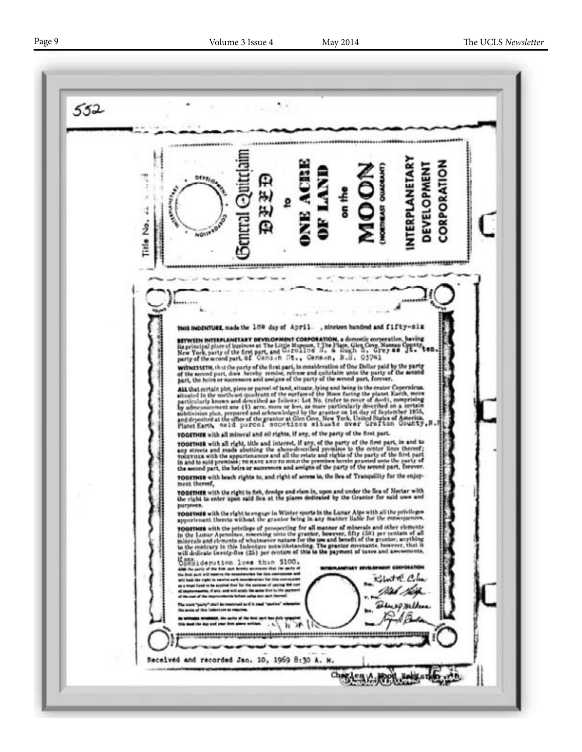